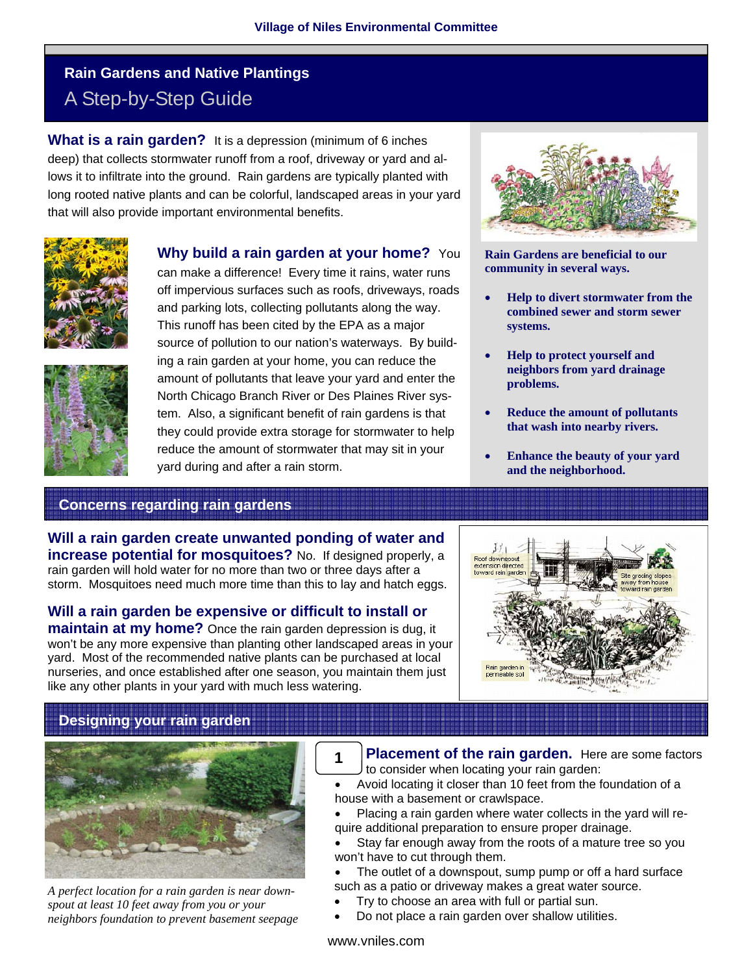# **Rain Gardens and Native Plantings**  A Step-by-Step Guide

**What is a rain garden?** It is a depression (minimum of 6 inches deep) that collects stormwater runoff from a roof, driveway or yard and allows it to infiltrate into the ground. Rain gardens are typically planted with long rooted native plants and can be colorful, landscaped areas in your yard that will also provide important environmental benefits.





**Why build a rain garden at your home?** You

can make a difference! Every time it rains, water runs off impervious surfaces such as roofs, driveways, roads and parking lots, collecting pollutants along the way. This runoff has been cited by the EPA as a major source of pollution to our nation's waterways. By building a rain garden at your home, you can reduce the amount of pollutants that leave your yard and enter the North Chicago Branch River or Des Plaines River system. Also, a significant benefit of rain gardens is that they could provide extra storage for stormwater to help reduce the amount of stormwater that may sit in your yard during and after a rain storm.



**Rain Gardens are beneficial to our community in several ways.** 

- **Help to divert stormwater from the combined sewer and storm sewer systems.**
- **Help to protect yourself and neighbors from yard drainage problems.**
- **Reduce the amount of pollutants that wash into nearby rivers.**
- **Enhance the beauty of your yard and the neighborhood.**

## **Concerns regarding rain gardens**

**Will a rain garden create unwanted ponding of water and increase potential for mosquitoes?** No. If designed properly, a rain garden will hold water for no more than two or three days after a storm. Mosquitoes need much more time than this to lay and hatch eggs.

**Will a rain garden be expensive or difficult to install or** 

**maintain at my home?** Once the rain garden depression is dug, it won't be any more expensive than planting other landscaped areas in your yard. Most of the recommended native plants can be purchased at local nurseries, and once established after one season, you maintain them just like any other plants in your yard with much less watering.



## **Designing your rain garden**



*A perfect location for a rain garden is near downspout at least 10 feet away from you or your neighbors foundation to prevent basement seepage* 

- **Placement of the rain garden.** Here are some factors to consider when locating your rain garden: **1**
- Avoid locating it closer than 10 feet from the foundation of a house with a basement or crawlspace.
- Placing a rain garden where water collects in the yard will require additional preparation to ensure proper drainage.
- Stay far enough away from the roots of a mature tree so you won't have to cut through them.
- The outlet of a downspout, sump pump or off a hard surface such as a patio or driveway makes a great water source.
- Try to choose an area with full or partial sun.
- Do not place a rain garden over shallow utilities.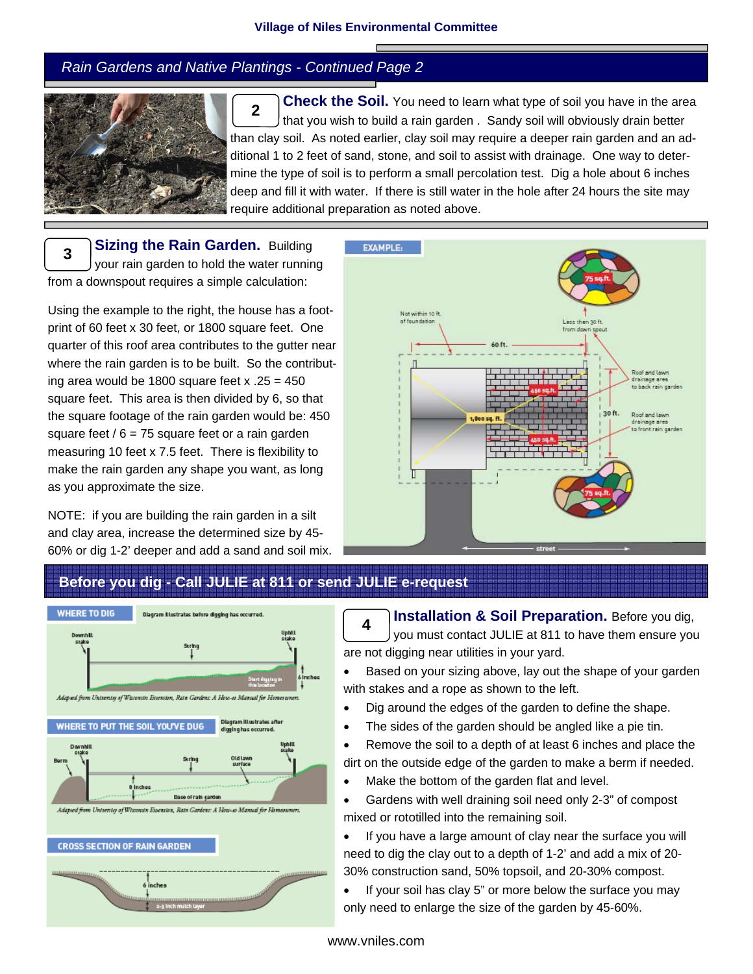#### *Rain Gardens and Native Plantings - Continued Page 2*



**Check the Soil.** You need to learn what type of soil you have in the area that you wish to build a rain garden . Sandy soil will obviously drain better than clay soil. As noted earlier, clay soil may require a deeper rain garden and an additional 1 to 2 feet of sand, stone, and soil to assist with drainage. One way to determine the type of soil is to perform a small percolation test. Dig a hole about 6 inches deep and fill it with water. If there is still water in the hole after 24 hours the site may require additional preparation as noted above. **2** 

**Sizing the Rain Garden. Building** your rain garden to hold the water running from a downspout requires a simple calculation: **3** 

Using the example to the right, the house has a footprint of 60 feet x 30 feet, or 1800 square feet. One quarter of this roof area contributes to the gutter near where the rain garden is to be built. So the contributing area would be 1800 square feet  $x = 25 = 450$ square feet. This area is then divided by 6, so that the square footage of the rain garden would be: 450 square feet  $/ 6 = 75$  square feet or a rain garden measuring 10 feet x 7.5 feet. There is flexibility to make the rain garden any shape you want, as long as you approximate the size.

NOTE: if you are building the rain garden in a silt and clay area, increase the determined size by 45- 60% or dig 1-2' deeper and add a sand and soil mix.



## **Before you dig - Call JULIE at 811 or send JULIE e-request**



**Installation & Soil Preparation.** Before you dig, you must contact JULIE at 811 to have them ensure you are not digging near utilities in your yard. **4** 

Based on your sizing above, lay out the shape of your garden with stakes and a rope as shown to the left.

- Dig around the edges of the garden to define the shape.
- The sides of the garden should be angled like a pie tin.
- Remove the soil to a depth of at least 6 inches and place the dirt on the outside edge of the garden to make a berm if needed.
- Make the bottom of the garden flat and level.

• Gardens with well draining soil need only 2-3" of compost mixed or rototilled into the remaining soil.

• If you have a large amount of clay near the surface you will need to dig the clay out to a depth of 1-2' and add a mix of 20- 30% construction sand, 50% topsoil, and 20-30% compost.

• If your soil has clay 5" or more below the surface you may only need to enlarge the size of the garden by 45-60%.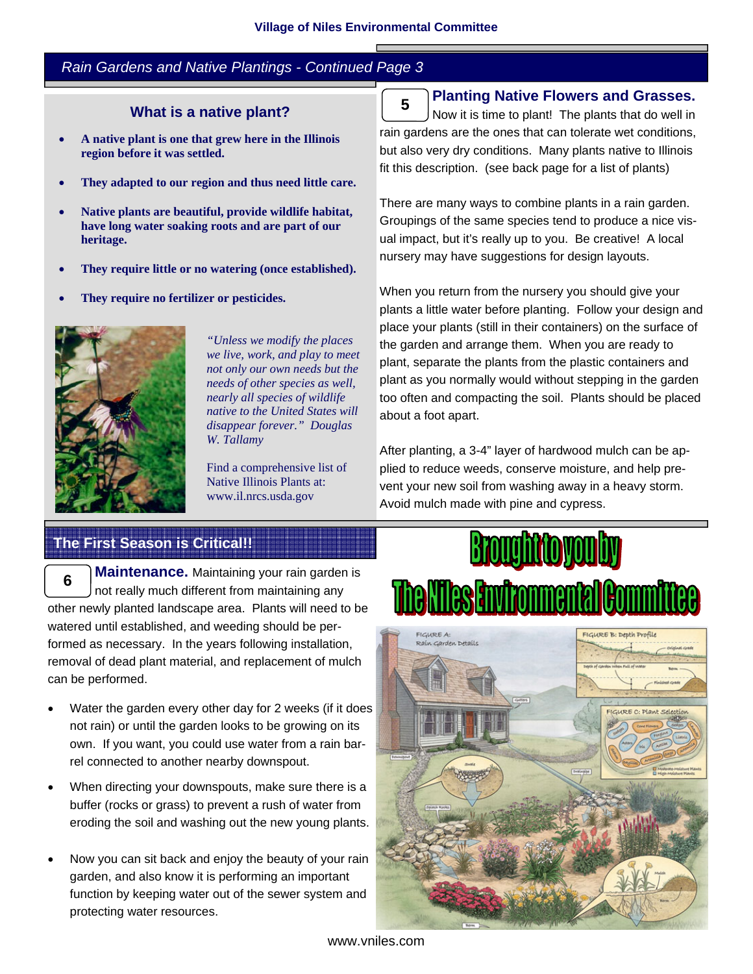### *Rain Gardens and Native Plantings - Continued Page 3*

#### **What is a native plant?**

- **A native plant is one that grew here in the Illinois region before it was settled.**
- **They adapted to our region and thus need little care.**
- **Native plants are beautiful, provide wildlife habitat, have long water soaking roots and are part of our heritage.**
- **They require little or no watering (once established).**
- **They require no fertilizer or pesticides.**



*"Unless we modify the places we live, work, and play to meet not only our own needs but the needs of other species as well, nearly all species of wildlife native to the United States will disappear forever." Douglas W. Tallamy* 

Find a comprehensive list of Native Illinois Plants at: www.il.nrcs.usda.gov

#### **Planting Native Flowers and Grasses.**

Now it is time to plant! The plants that do well in rain gardens are the ones that can tolerate wet conditions, but also very dry conditions. Many plants native to Illinois fit this description. (see back page for a list of plants) **5** 

There are many ways to combine plants in a rain garden. Groupings of the same species tend to produce a nice visual impact, but it's really up to you. Be creative! A local nursery may have suggestions for design layouts.

When you return from the nursery you should give your plants a little water before planting. Follow your design and place your plants (still in their containers) on the surface of the garden and arrange them. When you are ready to plant, separate the plants from the plastic containers and plant as you normally would without stepping in the garden too often and compacting the soil. Plants should be placed about a foot apart.

After planting, a 3-4" layer of hardwood mulch can be applied to reduce weeds, conserve moisture, and help prevent your new soil from washing away in a heavy storm. Avoid mulch made with pine and cypress.

### **The First Season is Critical!!**

**Maintenance.** Maintaining your rain garden is not really much different from maintaining any other newly planted landscape area. Plants will need to be watered until established, and weeding should be performed as necessary. In the years following installation, removal of dead plant material, and replacement of mulch can be performed. **6** 

- Water the garden every other day for 2 weeks (if it does not rain) or until the garden looks to be growing on its own. If you want, you could use water from a rain barrel connected to another nearby downspout.
- When directing your downspouts, make sure there is a buffer (rocks or grass) to prevent a rush of water from eroding the soil and washing out the new young plants.
- Now you can sit back and enjoy the beauty of your rain garden, and also know it is performing an important function by keeping water out of the sewer system and protecting water resources.





www.vniles.com